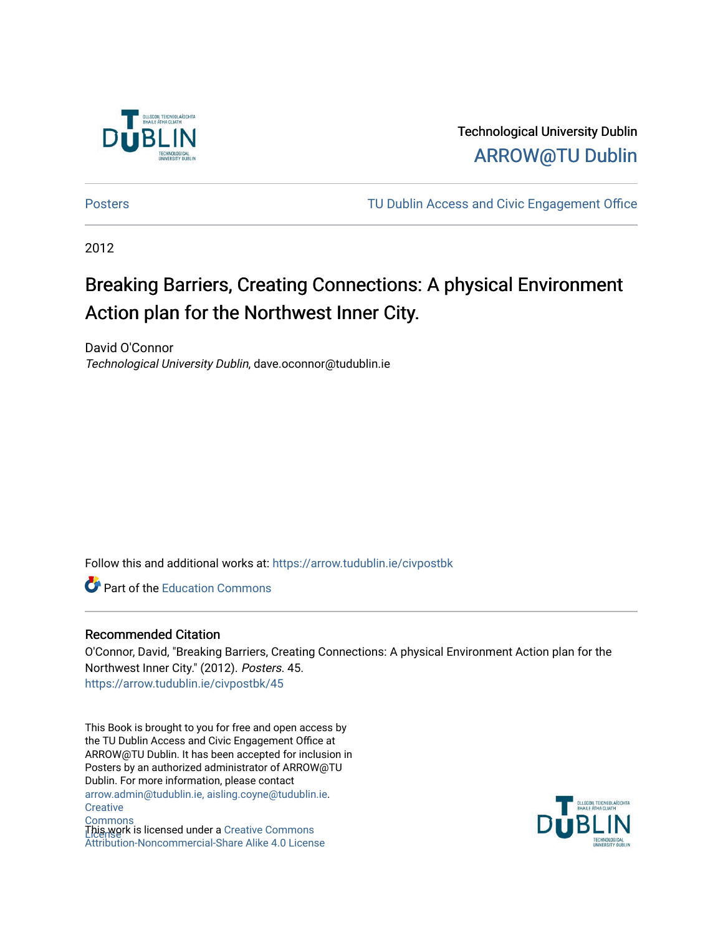

Technological University Dublin [ARROW@TU Dublin](https://arrow.tudublin.ie/) 

[Posters](https://arrow.tudublin.ie/civpostbk) [TU Dublin Access and Civic Engagement Office](https://arrow.tudublin.ie/comlink) 

2012

### Breaking Barriers, Creating Connections: A physical Environment Action plan for the Northwest Inner City.

David O'Connor Technological University Dublin, dave.oconnor@tudublin.ie

Follow this and additional works at: [https://arrow.tudublin.ie/civpostbk](https://arrow.tudublin.ie/civpostbk?utm_source=arrow.tudublin.ie%2Fcivpostbk%2F45&utm_medium=PDF&utm_campaign=PDFCoverPages) 

**Part of the [Education Commons](http://network.bepress.com/hgg/discipline/784?utm_source=arrow.tudublin.ie%2Fcivpostbk%2F45&utm_medium=PDF&utm_campaign=PDFCoverPages)** 

#### Recommended Citation

O'Connor, David, "Breaking Barriers, Creating Connections: A physical Environment Action plan for the Northwest Inner City." (2012). Posters. 45. [https://arrow.tudublin.ie/civpostbk/45](https://arrow.tudublin.ie/civpostbk/45?utm_source=arrow.tudublin.ie%2Fcivpostbk%2F45&utm_medium=PDF&utm_campaign=PDFCoverPages)

This Book is brought to you for free and open access by the TU Dublin Access and Civic Engagement Office at ARROW@TU Dublin. It has been accepted for inclusion in Posters by an authorized administrator of ARROW@TU Dublin. For more information, please contact [arrow.admin@tudublin.ie, aisling.coyne@tudublin.ie](mailto:arrow.admin@tudublin.ie,%20aisling.coyne@tudublin.ie). **Creative Commons** This work is licensed under a [Creative Commons](http://creativecommons.org/licenses/by-nc-sa/4.0/)

[Attribution-Noncommercial-Share Alike 4.0 License](http://creativecommons.org/licenses/by-nc-sa/4.0/)

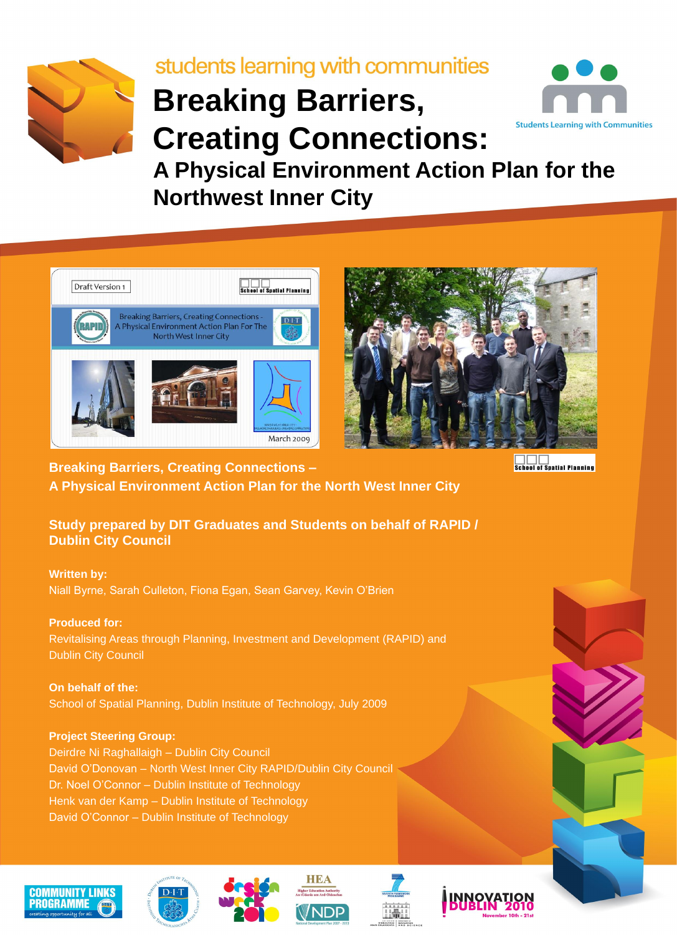

# students learning with communities **Breaking Barriers, Students Learning with Communities Creating Connections: A Physical Environment Action Plan for the Northwest Inner City**







**Breaking Barriers, Creating Connections – A Physical Environment Action Plan for the North West Inner City** **School of Spatial Planning** 

**Study prepared by DIT Graduates and Students on behalf of RAPID / Dublin City Council**

**Written by:** Niall Byrne, Sarah Culleton, Fiona Egan, Sean Garvey, Kevin O'Brien

**Produced for:** Revitalising Areas through Planning, Investment and Development (RAPID) and Dublin City Council

**On behalf of the:** School of Spatial Planning, Dublin Institute of Technology, July 2009

**Project Steering Group:** Deirdre Ni Raghallaigh – Dublin City Council David O'Donovan – North West Inner City RAPID/Dublin City Council Dr. Noel O'Connor – Dublin Institute of Technology Henk van der Kamp – Dublin Institute of Technology David O'Connor – Dublin Institute of Technology